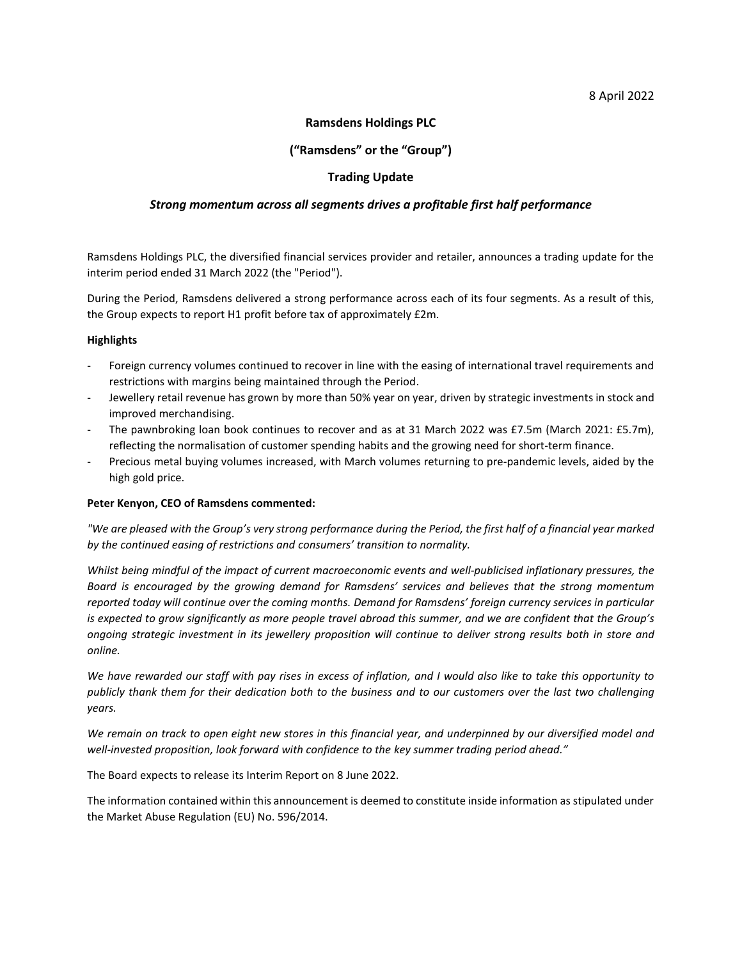## 8 April 2022

## **Ramsdens Holdings PLC**

# **("Ramsdens" or the "Group")**

# **Trading Update**

## *Strong momentum across all segments drives a profitable first half performance*

Ramsdens Holdings PLC, the diversified financial services provider and retailer, announces a trading update for the interim period ended 31 March 2022 (the "Period").

During the Period, Ramsdens delivered a strong performance across each of its four segments. As a result of this, the Group expects to report H1 profit before tax of approximately £2m.

## **Highlights**

- Foreign currency volumes continued to recover in line with the easing of international travel requirements and restrictions with margins being maintained through the Period.
- Jewellery retail revenue has grown by more than 50% year on year, driven by strategic investments in stock and improved merchandising.
- The pawnbroking loan book continues to recover and as at 31 March 2022 was £7.5m (March 2021: £5.7m), reflecting the normalisation of customer spending habits and the growing need for short-term finance.
- Precious metal buying volumes increased, with March volumes returning to pre-pandemic levels, aided by the high gold price.

#### **Peter Kenyon, CEO of Ramsdens commented:**

*"We are pleased with the Group's very strong performance during the Period, the first half of a financial year marked by the continued easing of restrictions and consumers' transition to normality.* 

*Whilst being mindful of the impact of current macroeconomic events and well-publicised inflationary pressures, the Board is encouraged by the growing demand for Ramsdens' services and believes that the strong momentum reported today will continue over the coming months. Demand for Ramsdens' foreign currency services in particular is expected to grow significantly as more people travel abroad this summer, and we are confident that the Group's ongoing strategic investment in its jewellery proposition will continue to deliver strong results both in store and online.* 

*We have rewarded our staff with pay rises in excess of inflation, and I would also like to take this opportunity to publicly thank them for their dedication both to the business and to our customers over the last two challenging years.*

*We remain on track to open eight new stores in this financial year, and underpinned by our diversified model and well-invested proposition, look forward with confidence to the key summer trading period ahead."*

The Board expects to release its Interim Report on 8 June 2022.

The information contained within this announcement is deemed to constitute inside information as stipulated under the Market Abuse Regulation (EU) No. 596/2014.